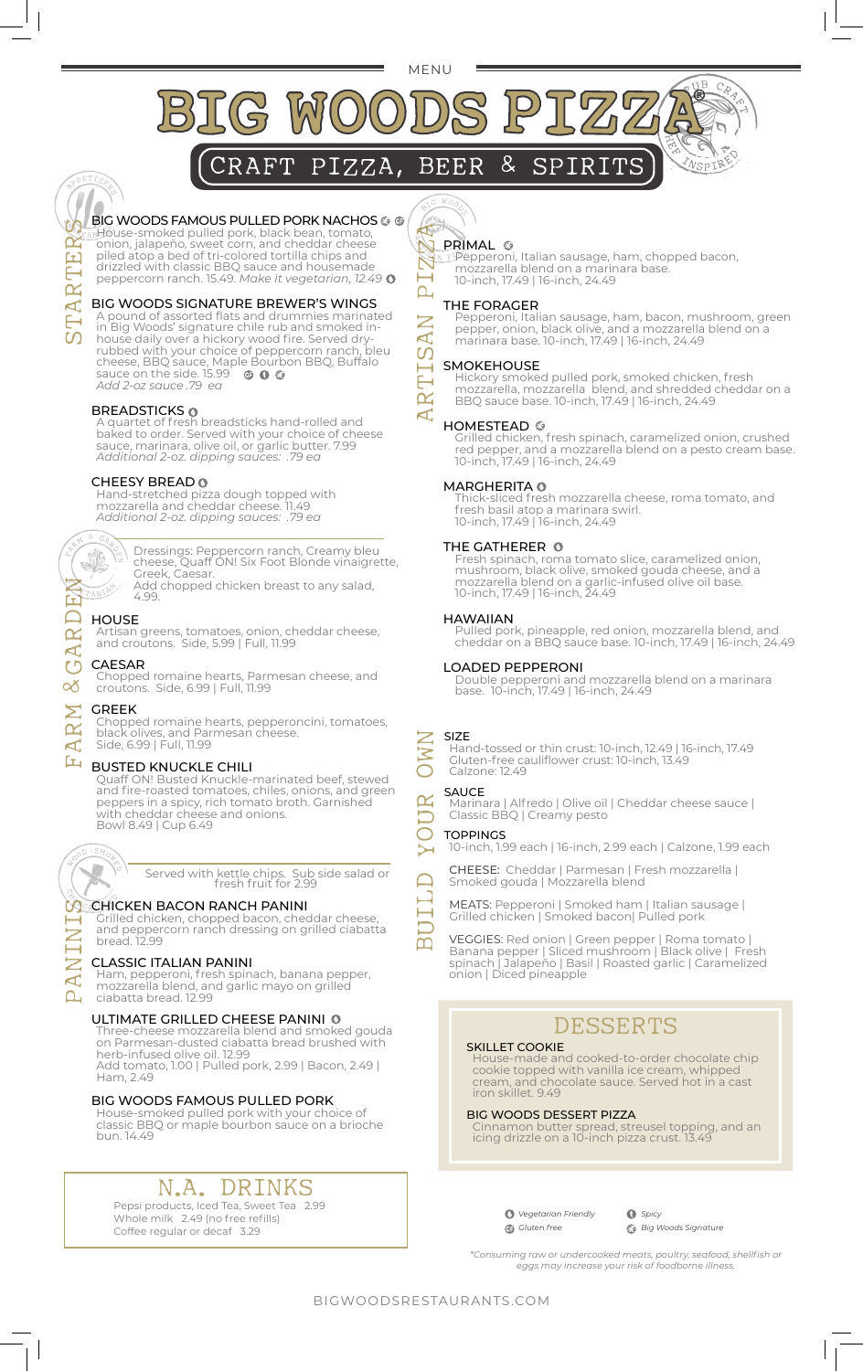MENU

ARTISAN PIZZA

 $\mathsf{\Sigma}$  $\mathbf{A}$ <u>ທ</u> **TT**  $\overline{\mathbf{K}}$  $\mathbf{A}$ 

 $\mathsf{L}_\mathsf{I}$ 

 $\boxtimes$  $\overline{\phantom{0}}$ 



#### BIG WOODS FAMOUS PULLED PORK NACHOS . O House-smoked pulled pork, black bean, tomato,

onion, jalapeño, sweet corn, and cheddar cheese piled atop a bed of tri-colored tortilla chips and drizzled with classic BBQ sauce and housemade peppercorn ranch. 15.49. *Make it vegetarian, 12.49*

#### BIG WOODS SIGNATURE BREWER'S WINGS

A pound of assorted flats and drummies marinated in Big Woods' signature chile rub and smoked inhouse daily over a hickory wood fire. Served dryrubbed with your choice of peppercorn ranch, bleu cheese, BBQ sauce, Maple Bourbon BBQ, Buffalo sauce on the side. 15.99 *Add 2-oz sauce .79 ea*

#### BREADSTICKS

A quartet of fresh breadsticks hand-rolled and baked to order. Served with your choice of cheese sauce, marinara, olive oil, or garlic butter. 7.99 *Additional 2-oz. dipping sauces: .79 ea*

#### CHEESY BREAD

4.99.

Hand-stretched pizza dough topped with mozzarella and cheddar cheese. 11.49 *Additional 2-oz. dipping sauces: .79 ea*



Dressings: Peppercorn ranch, Creamy bleu cheese, Quaff ON! Six Foot Blonde vinaigrette, Greek, Caesar. Add chopped chicken breast to any salad,

#### HOUSE

Artisan greens, tomatoes, onion, cheddar cheese, and croutons. Side, 5.99 | Full, 11.99

#### CAESAR

Chopped romaine hearts, Parmesan cheese, and croutons. Side, 6.99 | Full, 11.99

#### Σ GREEK

Chopped romaine hearts, pepperoncini, tomatoes, black olives, and Parmesan cheese. Side, 6.99 | Full, 11.99

#### Ŀц. BUSTED KNUCKLE CHILI

Quaff ON! Busted Knuckle-marinated beef, stewed and fire-roasted tomatoes, chiles, onions, and green peppers in a spicy, rich tomato broth. Garnished with cheddar cheese and onions. Bowl 8.49 | Cup 6.49



 $\mathsf{Z}$ 

Z  $\mathbf{C}$  Served with kettle chips. Sub side salad or fresh fruit for 2.99

#### **CACHICKEN BACON RANCH PANINI**

Grilled chicken, chopped bacon, cheddar cheese, and peppercorn ranch dressing on grilled ciabatta bread. 12.99

#### CLASSIC ITALIAN PANINI

Ham, pepperoni, fresh spinach, banana pepper, mozzarella blend, and garlic mayo on grilled ciabatta bread. 12.99

#### ULTIMATE GRILLED CHEESE PANINI

Three-cheese mozzarella blend and smoked gouda on Parmesan-dusted ciabatta bread brushed with herb-infused olive oil. 12.99 Add tomato, 1.00 | Pulled pork, 2.99 | Bacon, 2.49 | Ham, 2.49

#### BIG WOODS FAMOUS PULLED PORK

House-smoked pulled pork with your choice of classic BBQ or maple bourbon sauce on a brioche bun. 14.49

### N.A. DRINKS

Pepsi products, Iced Tea, Sweet Tea 2.99 Whole milk 2.49 (no free refills) Coffee regular or decaf 3.29

# **PRIMAL** O

Pepperoni, Italian sausage, ham, chopped bacon, mozzarella blend on a marinara base. 10-inch, 17.49 | 16-inch, 24.49

#### THE FORAGER

Pepperoni, Italian sausage, ham, bacon, mushroom, green pepper, onion, black olive, and a mozzarella blend on a marinara base. 10-inch, 17.49 | 16-inch, 24.49

#### SMOKEHOUSE

Hickory smoked pulled pork, smoked chicken, fresh mozzarella, mozzarella blend, and shredded cheddar on a BBQ sauce base. 10-inch, 17.49 | 16-inch, 24.49

#### HOMESTEAD<sup>®</sup>

Grilled chicken, fresh spinach, caramelized onion, crushed red pepper, and a mozzarella blend on a pesto cream base. 10-inch, 17.49 | 16-inch, 24.49

#### MARGHERITA <sup>®</sup>

Thick-sliced fresh mozzarella cheese, roma tomato, and fresh basil atop a marinara swirl. 10-inch, 17.49 | 16-inch, 24.49

#### THE GATHERER **O**

Fresh spinach, roma tomato slice, caramelized onion, mushroom, black olive, smoked gouda cheese, and a mozzarella blend on a garlic-infused olive oil base. 10-inch, 17.49 | 16-inch, 24.49

#### HAWAIIAN

Pulled pork, pineapple, red onion, mozzarella blend, and cheddar on a BBQ sauce base. 10-inch, 17.49 | 16-inch, 24.49

#### LOADED PEPPERONI

Double pepperoni and mozzarella blend on a marinara base. 10-inch, 17.49 | 16-inch, 24.49

#### SIZE

 $\mathbf{\alpha}$ 

Hand-tossed or thin crust: 10-inch, 12.49 | 16-inch, 17.49 Gluten-free cauliflower crust: 10-inch, 13.49 Calzone: 12.49

# SAUCE BUILD YOUR OWN

Marinara | Alfredo | Olive oil | Cheddar cheese sauce | Classic BBQ | Creamy pesto

#### **TOPPINGS**

10-inch, 1.99 each | 16-inch, 2.99 each | Calzone, 1.99 each

CHEESE: Cheddar | Parmesan | Fresh mozzarella | Smoked gouda | Mozzarella blend

MEATS: Pepperoni | Smoked ham | Italian sausage | Grilled chicken | Smoked bacon| Pulled pork

VEGGIES: Red onion | Green pepper | Roma tomato | Banana pepper | Sliced mushroom | Black olive | Fresh spinach | Jalapeño | Basil | Roasted garlic | Caramelized onion | Diced pineapple

## DESSERTS

#### SKILLET COOKIE

House-made and cooked-to-order chocolate chip cookie topped with vanilla ice cream, whipped cream, and chocolate sauce. Served hot in a cast iron skillet. 9.49

#### BIG WOODS DESSERT PIZZA

Cinnamon butter spread, streusel topping, and an icing drizzle on a 10-inch pizza crust. 13.49

> *Vegetarian Friendly Gluten free*

*Spicy Big Woods Signature*

*\*Consuming raw or undercooked meats, poultry, seafood, shellfish or eggs may increase your risk of foodborne illness.*

STARTERS

 $\alpha$ 

 $\mathbf{A}$ 

 $\mathbf{\alpha}$ FE

FARM & GARDEN 色

 $\mathbf{\alpha}$  $\blacktriangleleft$ ひ య

 $\mathbf{\alpha}$  $\mathbf{A}$